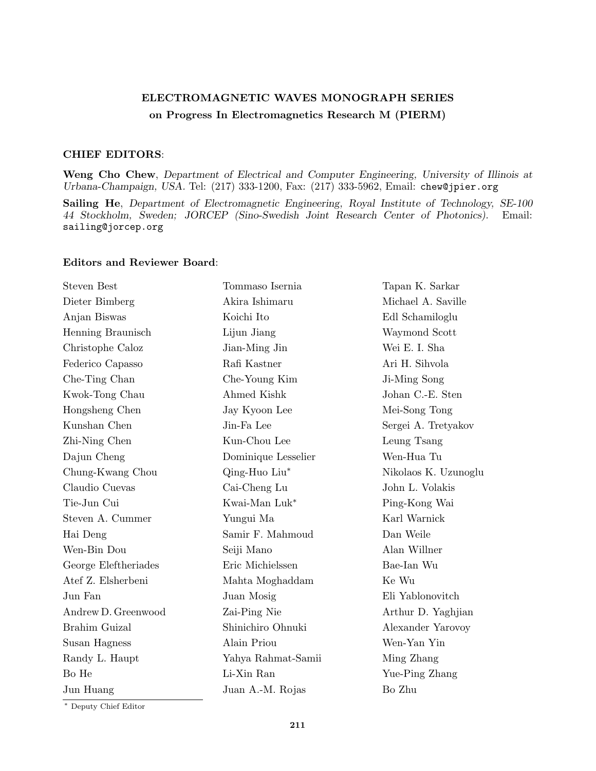## ELECTROMAGNETIC WAVES MONOGRAPH SERIES on Progress In Electromagnetics Research M (PIERM)

## CHIEF EDITORS:

Weng Cho Chew, Department of Electrical and Computer Engineering, University of Illinois at Urbana-Champaign, USA. Tel: (217) 333-1200, Fax: (217) 333-5962, Email: chew@jpier.org

Sailing He, Department of Electromagnetic Engineering, Royal Institute of Technology, SE-100 44 Stockholm, Sweden; JORCEP (Sino-Swedish Joint Research Center of Photonics). Email: sailing@jorcep.org

## Editors and Reviewer Board:

| <b>Steven Best</b>   | Tommaso Isernia     | Tapan K. Sarkar      |
|----------------------|---------------------|----------------------|
| Dieter Bimberg       | Akira Ishimaru      | Michael A. Saville   |
| Anjan Biswas         | Koichi Ito          | Edl Schamiloglu      |
| Henning Braunisch    | Lijun Jiang         | Waymond Scott        |
| Christophe Caloz     | Jian-Ming Jin       | Wei E. I. Sha        |
| Federico Capasso     | Rafi Kastner        | Ari H. Sihvola       |
| Che-Ting Chan        | Che-Young Kim       | Ji-Ming Song         |
| Kwok-Tong Chau       | Ahmed Kishk         | Johan C.-E. Sten     |
| Hongsheng Chen       | Jay Kyoon Lee       | Mei-Song Tong        |
| Kunshan Chen         | Jin-Fa Lee          | Sergei A. Tretyakov  |
| Zhi-Ning Chen        | Kun-Chou Lee        | Leung Tsang          |
| Dajun Cheng          | Dominique Lesselier | Wen-Hua Tu           |
| Chung-Kwang Chou     | Qing-Huo Liu*       | Nikolaos K. Uzunoglu |
| Claudio Cuevas       | Cai-Cheng Lu        | John L. Volakis      |
| Tie-Jun Cui          | Kwai-Man Luk*       | Ping-Kong Wai        |
| Steven A. Cummer     | Yungui Ma           | Karl Warnick         |
| Hai Deng             | Samir F. Mahmoud    | Dan Weile            |
| Wen-Bin Dou          | Seiji Mano          | Alan Willner         |
| George Eleftheriades | Eric Michielssen    | Bae-Ian Wu           |
| Atef Z. Elsherbeni   | Mahta Moghaddam     | Ke Wu                |
| Jun Fan              | Juan Mosig          | Eli Yablonovitch     |
| Andrew D. Greenwood  | Zai-Ping Nie        | Arthur D. Yaghjian   |
| Brahim Guizal        | Shinichiro Ohnuki   | Alexander Yarovoy    |
| Susan Hagness        | Alain Priou         | Wen-Yan Yin          |
| Randy L. Haupt       | Yahya Rahmat-Samii  | Ming Zhang           |
| Bo He                | Li-Xin Ran          | Yue-Ping Zhang       |
| Jun Huang            | Juan A.-M. Rojas    | Bo Zhu               |
|                      |                     |                      |

<sup>∗</sup> Deputy Chief Editor